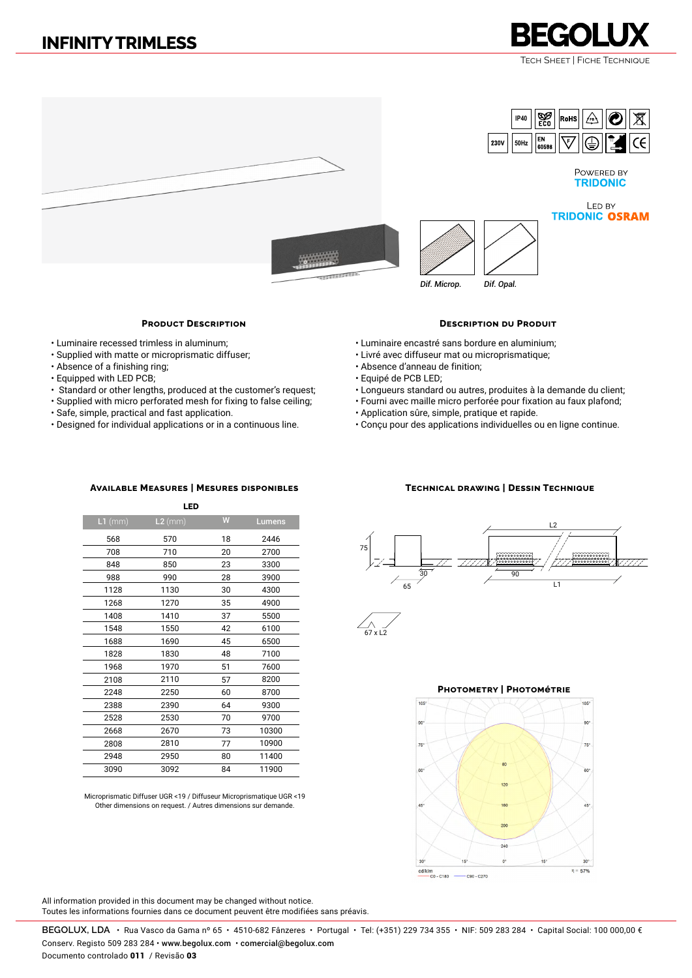# **INFINITY TRIMLESS**

Tech Sheet | Fiche Technique

**REGOLUX** 



## **Product Description**

- Luminaire recessed trimless in aluminum;
- Supplied with matte or microprismatic diffuser;
- Absence of a finishing ring;
- Equipped with LED PCB;
- Standard or other lengths, produced at the customer's request;
- Supplied with micro perforated mesh for fixing to false ceiling;
- Safe, simple, practical and fast application.
- Designed for individual applications or in a continuous line.

#### **Description du Produit**

- Luminaire encastré sans bordure en aluminium;
- Livré avec diffuseur mat ou microprismatique;
- Absence d'anneau de finition;
- Equipé de PCB LED;
- Longueurs standard ou autres, produites à la demande du client;
- Fourni avec maille micro perforée pour fixation au faux plafond;
- Application sûre, simple, pratique et rapide.
- Conçu pour des applications individuelles ou en ligne continue.

### **Available Measures | Mesures disponibles Technical drawing | Dessin Technique**

Microprismatic Diffuser UGR <19 / Diffuseur Microprismatique UGR <19 Other dimensions on request. / Autres dimensions sur demande.





#### **Photometry | Photométrie**



All information provided in this document may be changed without notice. Toutes les informations fournies dans ce document peuvent être modifiées sans préavis.

**BEGOLUX, LDA** •Rua Vasco da Gama nº 65 • 4510-682 Fânzeres • Portugal • Tel: (+351) 229 734 355 • NIF: 509 283 284 • Capital Social: 100 000,00 € Conserv. Registo 509 283 284 • www.begolux.com • comercial@begolux.com

Documento controlado 011 / Revisão 03